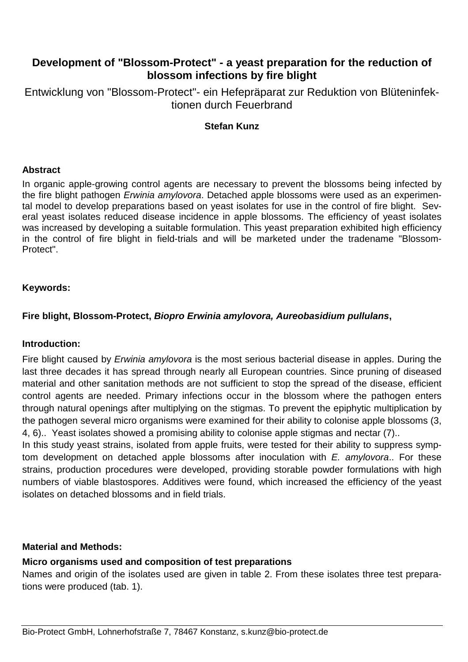# **Development of "Blossom-Protect" - a yeast preparation for the reduction of blossom infections by fire blight**

Entwicklung von "Blossom-Protect"- ein Hefepräparat zur Reduktion von Blüteninfektionen durch Feuerbrand

#### **Stefan Kunz**

#### **Abstract**

In organic apple-growing control agents are necessary to prevent the blossoms being infected by the fire blight pathogen Erwinia amylovora. Detached apple blossoms were used as an experimental model to develop preparations based on yeast isolates for use in the control of fire blight. Several yeast isolates reduced disease incidence in apple blossoms. The efficiency of yeast isolates was increased by developing a suitable formulation. This yeast preparation exhibited high efficiency in the control of fire blight in field-trials and will be marketed under the tradename "Blossom-Protect".

#### **Keywords:**

#### **Fire blight, Blossom-Protect, Biopro Erwinia amylovora, Aureobasidium pullulans,**

#### **Introduction:**

Fire blight caused by *Erwinia amylovora* is the most serious bacterial disease in apples. During the last three decades it has spread through nearly all European countries. Since pruning of diseased material and other sanitation methods are not sufficient to stop the spread of the disease, efficient control agents are needed. Primary infections occur in the blossom where the pathogen enters through natural openings after multiplying on the stigmas. To prevent the epiphytic multiplication by the pathogen several micro organisms were examined for their ability to colonise apple blossoms (3, 4, 6).. Yeast isolates showed a promising ability to colonise apple stigmas and nectar (7)..

In this study yeast strains, isolated from apple fruits, were tested for their ability to suppress symptom development on detached apple blossoms after inoculation with  $E$ . amylovora.. For these strains, production procedures were developed, providing storable powder formulations with high numbers of viable blastospores. Additives were found, which increased the efficiency of the yeast isolates on detached blossoms and in field trials.

#### **Material and Methods:**

## **Micro organisms used and composition of test preparations**

Names and origin of the isolates used are given in table 2. From these isolates three test preparations were produced (tab. 1).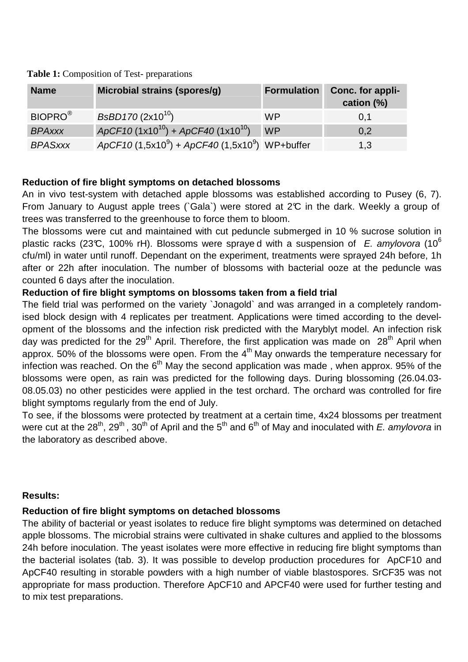| <b>Name</b>         | Microbial strains (spores/g)                      | <b>Formulation</b> | Conc. for appli-<br>cation (%) |
|---------------------|---------------------------------------------------|--------------------|--------------------------------|
| BIOPRO <sup>®</sup> | $BsBD170 (2x10^{10})$                             | <b>WP</b>          | 0,1                            |
| <b>BPAxxx</b>       | ApCF10 $(1x10^{10})$ + ApCF40 $(1x10^{10})$       | <b>WP</b>          | 0,2                            |
| <b>BPASxxx</b>      | $ApCF10 (1,5x10^9) + ApCF40 (1,5x10^9)$ WP+buffer |                    | 1,3                            |

 **Table 1:** Composition of Test- preparations

## **Reduction of fire blight symptoms on detached blossoms**

An in vivo test-system with detached apple blossoms was established according to Pusey (6, 7). From January to August apple trees (`Gala`) were stored at 2°C in the dark. Weekly a group of trees was transferred to the greenhouse to force them to bloom.

The blossoms were cut and maintained with cut peduncle submerged in 10 % sucrose solution in plastic racks (23°C, 100% rH). Blossoms were spraye d with a suspension of E. amylovora (10<sup>6</sup>) cfu/ml) in water until runoff. Dependant on the experiment, treatments were sprayed 24h before, 1h after or 22h after inoculation. The number of blossoms with bacterial ooze at the peduncle was counted 6 days after the inoculation.

## **Reduction of fire blight symptoms on blossoms taken from a field trial**

The field trial was performed on the variety `Jonagold` and was arranged in a completely randomised block design with 4 replicates per treatment. Applications were timed according to the development of the blossoms and the infection risk predicted with the Maryblyt model. An infection risk day was predicted for the 29<sup>th</sup> April. Therefore, the first application was made on  $28<sup>th</sup>$  April when approx. 50% of the blossoms were open. From the  $4<sup>th</sup>$  May onwards the temperature necessary for infection was reached. On the  $6<sup>th</sup>$  May the second application was made, when approx. 95% of the blossoms were open, as rain was predicted for the following days. During blossoming (26.04.03- 08.05.03) no other pesticides were applied in the test orchard. The orchard was controlled for fire blight symptoms regularly from the end of July.

To see, if the blossoms were protected by treatment at a certain time, 4x24 blossoms per treatment were cut at the 28<sup>th</sup>, 29<sup>th</sup>, 30<sup>th</sup> of April and the 5<sup>th</sup> and 6<sup>th</sup> of May and inoculated with E. amylovora in the laboratory as described above.

## **Results:**

## **Reduction of fire blight symptoms on detached blossoms**

The ability of bacterial or yeast isolates to reduce fire blight symptoms was determined on detached apple blossoms. The microbial strains were cultivated in shake cultures and applied to the blossoms 24h before inoculation. The yeast isolates were more effective in reducing fire blight symptoms than the bacterial isolates (tab. 3). It was possible to develop production procedures for ApCF10 and ApCF40 resulting in storable powders with a high number of viable blastospores. SrCF35 was not appropriate for mass production. Therefore ApCF10 and APCF40 were used for further testing and to mix test preparations.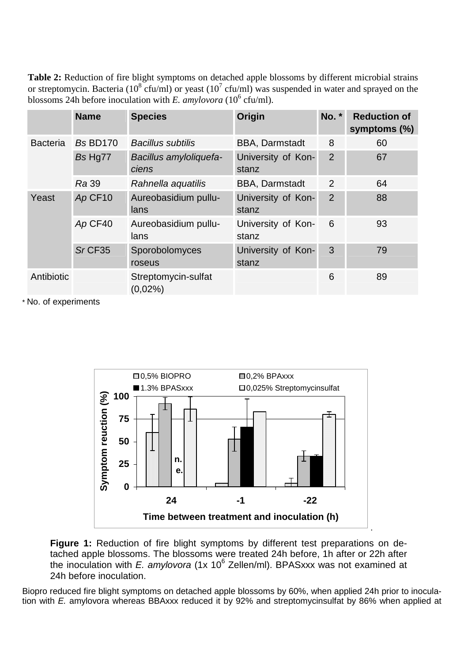**Table 2:** Reduction of fire blight symptoms on detached apple blossoms by different microbial strains or streptomycin. Bacteria (10<sup>8</sup> cfu/ml) or yeast (10<sup>7</sup> cfu/ml) was suspended in water and sprayed on the blossoms 24h before inoculation with *E. amylovora* ( $10^6$  cfu/ml).

|                 | <b>Name</b>     | <b>Species</b>                    | Origin                      | No. *          | <b>Reduction of</b><br>symptoms (%) |
|-----------------|-----------------|-----------------------------------|-----------------------------|----------------|-------------------------------------|
| <b>Bacteria</b> | <b>Bs BD170</b> | <b>Bacillus subtilis</b>          | <b>BBA, Darmstadt</b>       | 8              | 60                                  |
|                 | Bs Hg77         | Bacillus amyloliquefa-<br>ciens   | University of Kon-<br>stanz | 2              | 67                                  |
|                 | <b>Ra</b> 39    | Rahnella aquatilis                | <b>BBA, Darmstadt</b>       | 2              | 64                                  |
| Yeast           | Ap CF10         | Aureobasidium pullu-<br>lans      | University of Kon-<br>stanz | $\overline{2}$ | 88                                  |
|                 | Ap CF40         | Aureobasidium pullu-<br>lans      | University of Kon-<br>stanz | 6              | 93                                  |
|                 | $Sr$ CF35       | Sporobolomyces<br>roseus          | University of Kon-<br>stanz | 3              | 79                                  |
| Antibiotic      |                 | Streptomycin-sulfat<br>$(0,02\%)$ |                             | 6              | 89                                  |

\* No. of experiments



**Figure 1:** Reduction of fire blight symptoms by different test preparations on detached apple blossoms. The blossoms were treated 24h before, 1h after or 22h after the inoculation with E. amylovora (1x 10 $^6$  Zellen/ml). BPASxxx was not examined at 24h before inoculation.

Biopro reduced fire blight symptoms on detached apple blossoms by 60%, when applied 24h prior to inoculation with E. amylovora whereas BBAxxx reduced it by 92% and streptomycinsulfat by 86% when applied at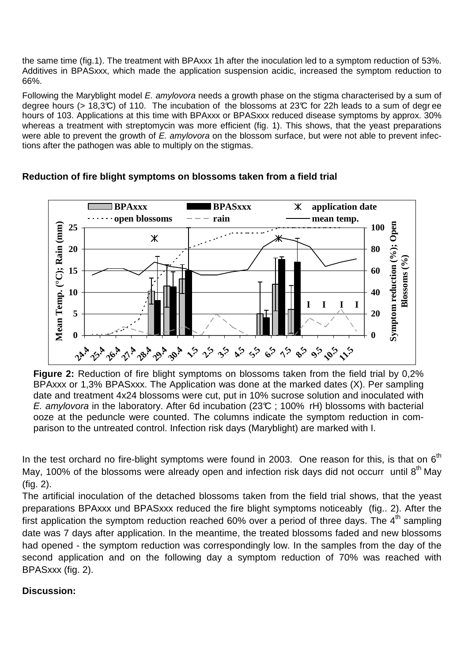the same time (fig.1). The treatment with BPAxxx 1h after the inoculation led to a symptom reduction of 53%. Additives in BPASxxx, which made the application suspension acidic, increased the symptom reduction to 66%.

Following the Maryblight model E. amylovora needs a growth phase on the stigma characterised by a sum of degree hours (> 18,3°C) of 110. The incubation of the blossoms at 23°C for 22h leads to a sum of degr ee hours of 103. Applications at this time with BPAxxx or BPASxxx reduced disease symptoms by approx. 30% whereas a treatment with streptomycin was more efficient (fig. 1). This shows, that the yeast preparations were able to prevent the growth of E. amylovora on the blossom surface, but were not able to prevent infections after the pathogen was able to multiply on the stigmas.



#### **Reduction of fire blight symptoms on blossoms taken from a field trial**

**Figure 2:** Reduction of fire blight symptoms on blossoms taken from the field trial by 0,2% BPAxxx or 1,3% BPASxxx. The Application was done at the marked dates (X). Per sampling date and treatment 4x24 blossoms were cut, put in 10% sucrose solution and inoculated with E. amylovora in the laboratory. After 6d incubation (23 $C$ ; 100% rH) blossoms with bacterial ooze at the peduncle were counted. The columns indicate the symptom reduction in comparison to the untreated control. Infection risk days (Maryblight) are marked with I.

In the test orchard no fire-blight symptoms were found in 2003. One reason for this, is that on  $6<sup>th</sup>$ May, 100% of the blossoms were already open and infection risk days did not occurr until  $8<sup>th</sup>$  May (fig. 2).

The artificial inoculation of the detached blossoms taken from the field trial shows, that the yeast preparations BPAxxx und BPASxxx reduced the fire blight symptoms noticeably (fig.. 2). After the first application the symptom reduction reached 60% over a period of three days. The  $4<sup>th</sup>$  sampling date was 7 days after application. In the meantime, the treated blossoms faded and new blossoms had opened - the symptom reduction was correspondingly low. In the samples from the day of the second application and on the following day a symptom reduction of 70% was reached with BPASxxx (fig. 2).

## **Discussion:**